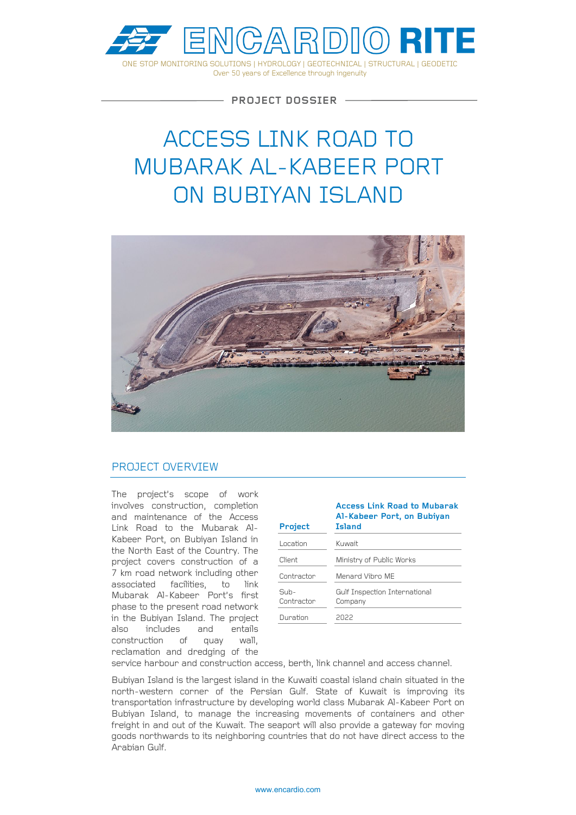

ONE STOP MONITORING SOLUTIONS | HYDROLOGY | GEOTECHNICAL | STRUCTURAL | GEODETIC Over 50 years of Excellence through ingenuity

**PROJECT DOSSIER**

# ACCESS LINK ROAD TO MUBARAK AL-KABEER PORT ON BUBIYAN ISLAND



## PROJECT OVERVIEW

The project's scope of work involves construction, completion and maintenance of the Access Link Road to the Mubarak Al-Kabeer Port, on Bubiyan Island in the North East of the Country. The project covers construction of a 7 km road network including other associated facilities, to link Mubarak Al-Kabeer Port's first phase to the present road network in the Bubiyan Island. The project also includes and entails construction of quay wall, reclamation and dredging of the

| Project              | <b>Access Link Road to Mubarak</b><br>Al-Kabeer Port, on Bubiyan<br><b>Island</b> |
|----------------------|-----------------------------------------------------------------------------------|
| Location             | Kuwait                                                                            |
| Client               | Ministry of Public Works                                                          |
| Contractor           | Menard Vihro MF                                                                   |
| $Suh-$<br>Contractor | Gulf Inspection International<br>Company                                          |
| Duration             | 2022                                                                              |

service harbour and construction access, berth, link channel and access channel.

Bubiyan Island is the largest island in the Kuwaiti coastal island chain situated in the north-western corner of the Persian Gulf. State of Kuwait is improving its transportation infrastructure by developing world class Mubarak Al-Kabeer Port on Bubiyan Island, to manage the increasing movements of containers and other freight in and out of the Kuwait. The seaport will also provide a gateway for moving goods northwards to its neighboring countries that do not have direct access to the Arabian Gulf.